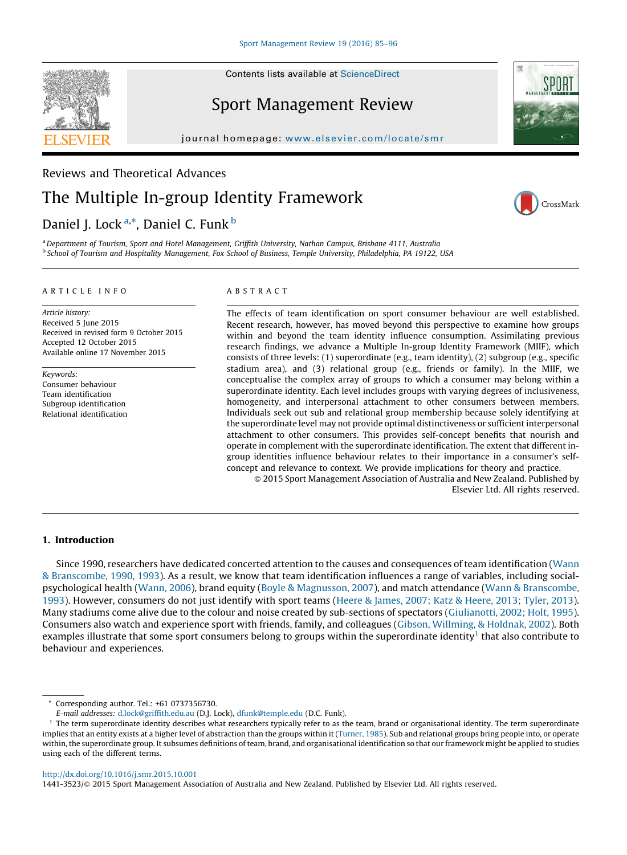Contents lists available at [ScienceDirect](http://www.sciencedirect.com/science/journal/14413523)

## Sport Management Review

journal homepage: www.elsevier.com/locate/smr

# Reviews and Theoretical Advances The Multiple In-group Identity Framework

### Daniel J. Lock<sup>a,\*</sup>, Daniel C. Funk <sup>b</sup>

a Department of Tourism, Sport and Hotel Management, Griffith University, Nathan Campus, Brisbane 4111, Australia <sup>b</sup> School of Tourism and Hospitality Management, Fox School of Business, Temple University, Philadelphia, PA 19122, USA

#### A R T I C L E I N F O

Article history: Received 5 June 2015 Received in revised form 9 October 2015 Accepted 12 October 2015 Available online 17 November 2015

Keywords: Consumer behaviour Team identification Subgroup identification Relational identification

#### A B S T R A C T

The effects of team identification on sport consumer behaviour are well established. Recent research, however, has moved beyond this perspective to examine how groups within and beyond the team identity influence consumption. Assimilating previous research findings, we advance a Multiple In-group Identity Framework (MIIF), which consists of three levels: (1) superordinate (e.g., team identity), (2) subgroup (e.g., specific stadium area), and (3) relational group (e.g., friends or family). In the MIIF, we conceptualise the complex array of groups to which a consumer may belong within a superordinate identity. Each level includes groups with varying degrees of inclusiveness, homogeneity, and interpersonal attachment to other consumers between members. Individuals seek out sub and relational group membership because solely identifying at the superordinate level may not provide optimal distinctiveness or sufficient interpersonal attachment to other consumers. This provides self-concept benefits that nourish and operate in complement with the superordinate identification. The extent that different ingroup identities influence behaviour relates to their importance in a consumer's selfconcept and relevance to context. We provide implications for theory and practice.

- 2015 Sport Management Association of Australia and New Zealand. Published by Elsevier Ltd. All rights reserved.

#### 1. Introduction

Since 1990, researchers have dedicated concerted attention to the causes and consequences of team identification [\(Wann](#page-11-0) & [Branscombe,](#page-11-0) 1990, 1993). As a result, we know that team identification influences a range of variables, including socialpsychological health [\(Wann,](#page-11-0) 2006), brand equity (Boyle & [Magnusson,](#page-10-0) 2007), and match attendance (Wann & [Branscombe,](#page-11-0) [1993](#page-11-0)). However, consumers do not just identify with sport teams (Heere & [James,](#page-11-0) 2007; Katz & Heere, 2013; Tyler, 2013). Many stadiums come alive due to the colour and noise created by sub-sections of spectators ([Giulianotti,](#page-11-0) 2002; Holt, 1995). Consumers also watch and experience sport with friends, family, and colleagues (Gibson, [Willming,](#page-11-0) & Holdnak, 2002). Both examples illustrate that some sport consumers belong to groups within the superordinate identity<sup>1</sup> that also contribute to behaviour and experiences.

<http://dx.doi.org/10.1016/j.smr.2015.10.001>

1441-3523/© 2015 Sport Management Association of Australia and New Zealand. Published by Elsevier Ltd. All rights reserved.







Corresponding author. Tel.: +61 0737356730.

E-mail addresses: [d.lock@griffith.edu.au](mailto:d.lock@griffith.edu.au) (D.J. Lock), [dfunk@temple.edu](mailto:dfunk@temple.edu) (D.C. Funk).

 $<sup>1</sup>$  The term superordinate identity describes what researchers typically refer to as the team, brand or organisational identity. The term superordinate</sup> implies that an entity exists at a higher level of abstraction than the groups within it [\(Turner,](#page-11-0) 1985). Sub and relational groups bring people into, or operate within, the superordinate group. It subsumes definitions of team, brand, and organisational identification so that our framework might be applied to studies using each of the different terms.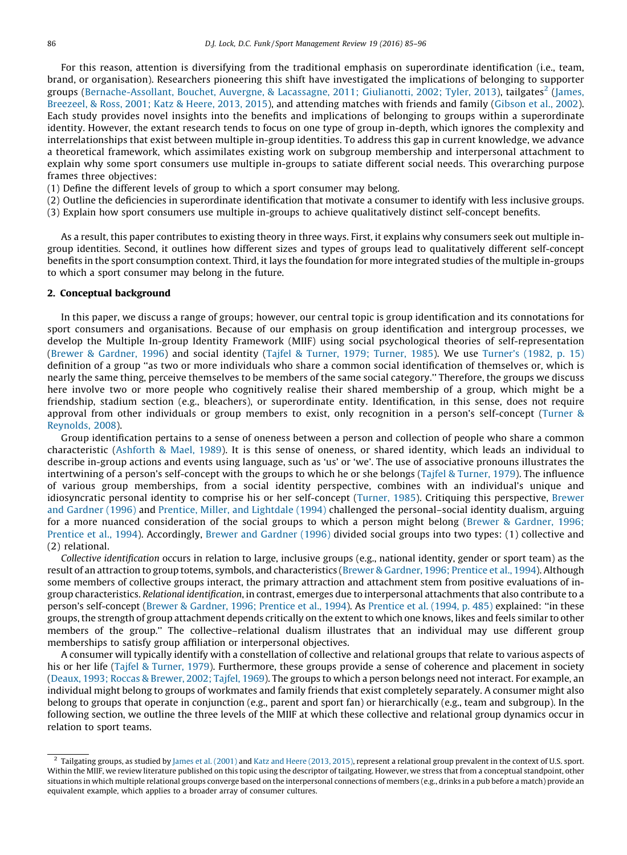For this reason, attention is diversifying from the traditional emphasis on superordinate identification (i.e., team, brand, or organisation). Researchers pioneering this shift have investigated the implications of belonging to supporter groups ([Bernache-Assollant,](#page-10-0) Bouchet, Auvergne, & Lacassagne, 2011; Giulianotti, 2002; Tyler, 2013), tailgates<sup>2</sup> [\(James,](#page-11-0) [Breezeel,](#page-11-0) & Ross, 2001; Katz & Heere, 2013, 2015), and attending matches with friends and family ([Gibson](#page-11-0) et al., 2002). Each study provides novel insights into the benefits and implications of belonging to groups within a superordinate identity. However, the extant research tends to focus on one type of group in-depth, which ignores the complexity and interrelationships that exist between multiple in-group identities. To address this gap in current knowledge, we advance a theoretical framework, which assimilates existing work on subgroup membership and interpersonal attachment to explain why some sport consumers use multiple in-groups to satiate different social needs. This overarching purpose frames three objectives:

- (1) Define the different levels of group to which a sport consumer may belong.
- (2) Outline the deficiencies in superordinate identification that motivate a consumer to identify with less inclusive groups.
- (3) Explain how sport consumers use multiple in-groups to achieve qualitatively distinct self-concept benefits.

As a result, this paper contributes to existing theory in three ways. First, it explains why consumers seek out multiple ingroup identities. Second, it outlines how different sizes and types of groups lead to qualitatively different self-concept benefits in the sport consumption context. Third, it lays the foundation for more integrated studies of the multiple in-groups to which a sport consumer may belong in the future.

#### 2. Conceptual background

In this paper, we discuss a range of groups; however, our central topic is group identification and its connotations for sport consumers and organisations. Because of our emphasis on group identification and intergroup processes, we develop the Multiple In-group Identity Framework (MIIF) using social psychological theories of self-representation (Brewer & [Gardner,](#page-10-0) 1996) and social identity (Tajfel & Turner, 1979; [Turner,](#page-11-0) 1985). We use [Turner's](#page-11-0) (1982, p. 15) definition of a group ''as two or more individuals who share a common social identification of themselves or, which is nearly the same thing, perceive themselves to be members of the same social category.'' Therefore, the groups we discuss here involve two or more people who cognitively realise their shared membership of a group, which might be a friendship, stadium section (e.g., bleachers), or superordinate entity. Identification, in this sense, does not require approval from other individuals or group members to exist, only recognition in a person's self-concept [\(Turner](#page-11-0) & [Reynolds,](#page-11-0) 2008).

Group identification pertains to a sense of oneness between a person and collection of people who share a common characteristic ([Ashforth](#page-10-0) & Mael, 1989). It is this sense of oneness, or shared identity, which leads an individual to describe in-group actions and events using language, such as 'us' or 'we'. The use of associative pronouns illustrates the intertwining of a person's self-concept with the groups to which he or she belongs (Tajfel & [Turner,](#page-11-0) 1979). The influence of various group memberships, from a social identity perspective, combines with an individual's unique and idiosyncratic personal identity to comprise his or her self-concept [\(Turner,](#page-11-0) 1985). Critiquing this perspective, [Brewer](#page-10-0) and [Gardner](#page-10-0) (1996) and Prentice, Miller, and [Lightdale](#page-11-0) (1994) challenged the personal–social identity dualism, arguing for a more nuanced consideration of the social groups to which a person might belong (Brewer & [Gardner,](#page-10-0) 1996; [Prentice](#page-10-0) et al., 1994). Accordingly, Brewer and [Gardner](#page-10-0) (1996) divided social groups into two types: (1) collective and (2) relational.

Collective identification occurs in relation to large, inclusive groups (e.g., national identity, gender or sport team) as the result of an attraction to group totems, symbols, and characteristics (Brewer & [Gardner,](#page-10-0) 1996; Prentice et al., 1994). Although some members of collective groups interact, the primary attraction and attachment stem from positive evaluations of ingroup characteristics. Relational identification, in contrast, emerges due to interpersonal attachments that also contribute to a person's self-concept (Brewer & [Gardner,](#page-10-0) 1996; Prentice et al., 1994). As [Prentice](#page-11-0) et al. (1994, p. 485) explained: ''in these groups, the strength of group attachment depends critically on the extent to which one knows, likes and feels similar to other members of the group.'' The collective–relational dualism illustrates that an individual may use different group memberships to satisfy group affiliation or interpersonal objectives.

A consumer will typically identify with a constellation of collective and relational groups that relate to various aspects of his or her life (Tajfel & [Turner,](#page-11-0) 1979). Furthermore, these groups provide a sense of coherence and placement in society (Deaux, 1993; Roccas & [Brewer,](#page-10-0) 2002; Tajfel, 1969). The groups to which a person belongs need not interact. For example, an individual might belong to groups of workmates and family friends that exist completely separately. A consumer might also belong to groups that operate in conjunction (e.g., parent and sport fan) or hierarchically (e.g., team and subgroup). In the following section, we outline the three levels of the MIIF at which these collective and relational group dynamics occur in relation to sport teams.

 $2$  Tailgating groups, as studied by James et al. [\(2001\)](#page-11-0) and Katz and Heere [\(2013,](#page-11-0) 2015), represent a relational group prevalent in the context of U.S. sport. Within the MIIF, we review literature published on this topic using the descriptor of tailgating. However, we stress that from a conceptual standpoint, other situations in which multiple relational groups converge based on the interpersonal connections of members (e.g., drinks in a pub before a match) provide an equivalent example, which applies to a broader array of consumer cultures.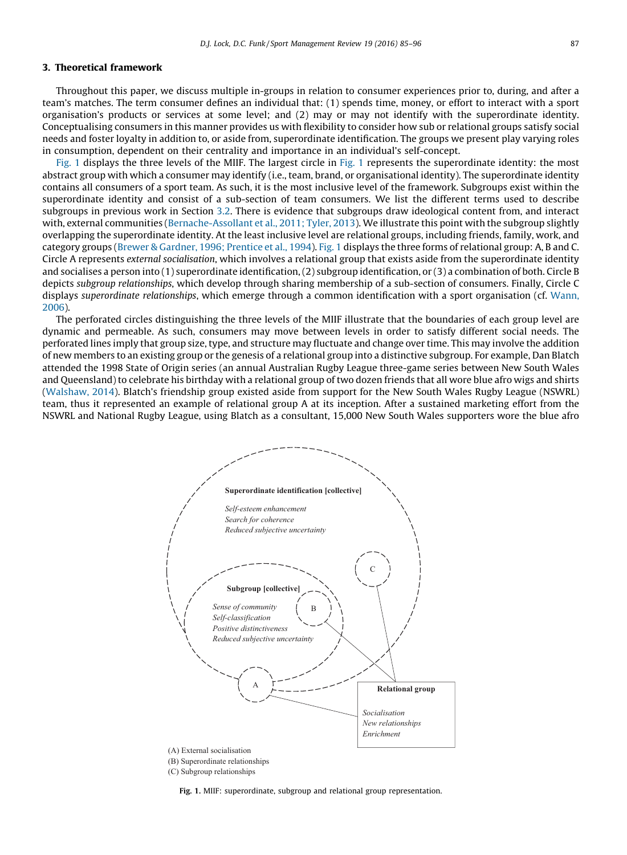#### <span id="page-2-0"></span>3. Theoretical framework

Throughout this paper, we discuss multiple in-groups in relation to consumer experiences prior to, during, and after a team's matches. The term consumer defines an individual that: (1) spends time, money, or effort to interact with a sport organisation's products or services at some level; and (2) may or may not identify with the superordinate identity. Conceptualising consumers in this manner provides us with flexibility to consider how sub or relational groups satisfy social needs and foster loyalty in addition to, or aside from, superordinate identification. The groups we present play varying roles in consumption, dependent on their centrality and importance in an individual's self-concept.

Fig. 1 displays the three levels of the MIIF. The largest circle in Fig. 1 represents the superordinate identity: the most abstract group with which a consumer may identify (i.e., team, brand, or organisational identity). The superordinate identity contains all consumers of a sport team. As such, it is the most inclusive level of the framework. Subgroups exist within the superordinate identity and consist of a sub-section of team consumers. We list the different terms used to describe subgroups in previous work in Section [3.2.](#page-4-0) There is evidence that subgroups draw ideological content from, and interact with, external communities [\(Bernache-Assollant](#page-10-0) et al., 2011; Tyler, 2013). We illustrate this point with the subgroup slightly overlapping the superordinate identity. At the least inclusive level are relational groups, including friends, family, work, and category groups (Brewer & [Gardner,](#page-10-0) 1996; Prentice et al., 1994). Fig. 1 displays the three forms of relational group: A, B and C. Circle A represents external socialisation, which involves a relational group that exists aside from the superordinate identity and socialises a person into (1) superordinate identification, (2) subgroup identification, or (3) a combination of both. Circle B depicts subgroup relationships, which develop through sharing membership of a sub-section of consumers. Finally, Circle C displays superordinate relationships, which emerge through a common identification with a sport organisation (cf. [Wann,](#page-11-0) [2006](#page-11-0)).

The perforated circles distinguishing the three levels of the MIIF illustrate that the boundaries of each group level are dynamic and permeable. As such, consumers may move between levels in order to satisfy different social needs. The perforated lines imply that group size, type, and structure may fluctuate and change over time. This may involve the addition of new members to an existing group or the genesis of a relational group into a distinctive subgroup. For example, Dan Blatch attended the 1998 State of Origin series (an annual Australian Rugby League three-game series between New South Wales and Queensland) to celebrate his birthday with a relational group of two dozen friends that all wore blue afro wigs and shirts ([Walshaw,](#page-11-0) 2014). Blatch's friendship group existed aside from support for the New South Wales Rugby League (NSWRL) team, thus it represented an example of relational group A at its inception. After a sustained marketing effort from the NSWRL and National Rugby League, using Blatch as a consultant, 15,000 New South Wales supporters wore the blue afro



Fig. 1. MIIF: superordinate, subgroup and relational group representation.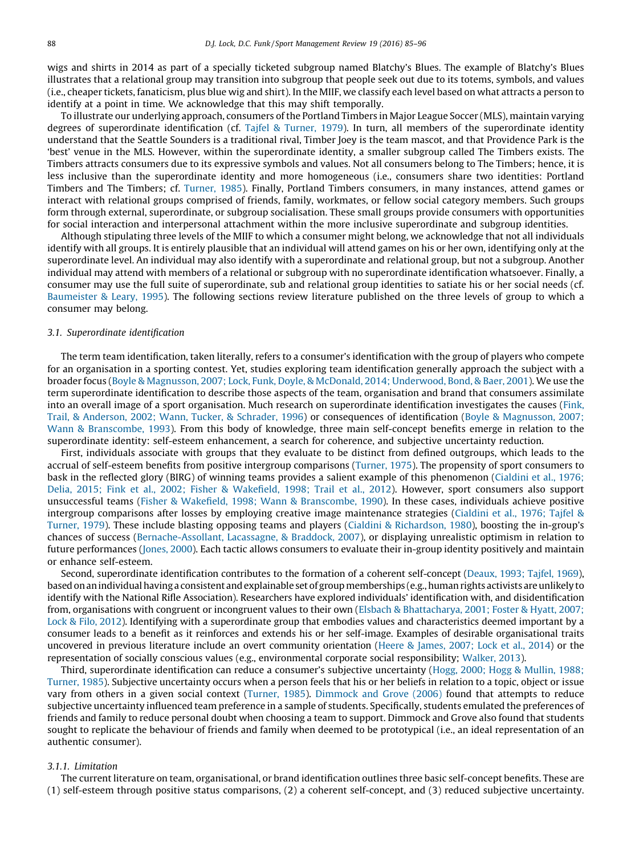wigs and shirts in 2014 as part of a specially ticketed subgroup named Blatchy's Blues. The example of Blatchy's Blues illustrates that a relational group may transition into subgroup that people seek out due to its totems, symbols, and values (i.e., cheaper tickets, fanaticism, plus blue wig and shirt). In the MIIF, we classify each level based on what attracts a person to identify at a point in time. We acknowledge that this may shift temporally.

To illustrate our underlying approach, consumers of the Portland Timbers in Major League Soccer (MLS), maintain varying degrees of superordinate identification (cf. Tajfel & [Turner,](#page-11-0) 1979). In turn, all members of the superordinate identity understand that the Seattle Sounders is a traditional rival, Timber Joey is the team mascot, and that Providence Park is the 'best' venue in the MLS. However, within the superordinate identity, a smaller subgroup called The Timbers exists. The Timbers attracts consumers due to its expressive symbols and values. Not all consumers belong to The Timbers; hence, it is less inclusive than the superordinate identity and more homogeneous (i.e., consumers share two identities: Portland Timbers and The Timbers; cf. [Turner,](#page-11-0) 1985). Finally, Portland Timbers consumers, in many instances, attend games or interact with relational groups comprised of friends, family, workmates, or fellow social category members. Such groups form through external, superordinate, or subgroup socialisation. These small groups provide consumers with opportunities for social interaction and interpersonal attachment within the more inclusive superordinate and subgroup identities.

Although stipulating three levels of the MIIF to which a consumer might belong, we acknowledge that not all individuals identify with all groups. It is entirely plausible that an individual will attend games on his or her own, identifying only at the superordinate level. An individual may also identify with a superordinate and relational group, but not a subgroup. Another individual may attend with members of a relational or subgroup with no superordinate identification whatsoever. Finally, a consumer may use the full suite of superordinate, sub and relational group identities to satiate his or her social needs (cf. [Baumeister](#page-10-0) & Leary, 1995). The following sections review literature published on the three levels of group to which a consumer may belong.

#### 3.1. Superordinate identification

The term team identification, taken literally, refers to a consumer's identification with the group of players who compete for an organisation in a sporting contest. Yet, studies exploring team identification generally approach the subject with a broader focus (Boyle & Magnusson, 2007; Lock, Funk, Doyle, & McDonald, 2014; [Underwood,](#page-10-0) Bond, & Baer, 2001). We use the term superordinate identification to describe those aspects of the team, organisation and brand that consumers assimilate into an overall image of a sport organisation. Much research on superordinate identification investigates the causes [\(Fink,](#page-10-0) Trail, & [Anderson,](#page-10-0) 2002; Wann, Tucker, & Schrader, 1996) or consequences of identification (Boyle & [Magnusson,](#page-10-0) 2007; Wann & [Branscombe,](#page-10-0) 1993). From this body of knowledge, three main self-concept benefits emerge in relation to the superordinate identity: self-esteem enhancement, a search for coherence, and subjective uncertainty reduction.

First, individuals associate with groups that they evaluate to be distinct from defined outgroups, which leads to the accrual of self-esteem benefits from positive intergroup comparisons ([Turner,](#page-11-0) 1975). The propensity of sport consumers to bask in the reflected glory (BIRG) of winning teams provides a salient example of this phenomenon [\(Cialdini](#page-10-0) et al., 1976; Delia, 2015; Fink et al., 2002; Fisher & [Wakefield,](#page-10-0) 1998; Trail et al., 2012). However, sport consumers also support unsuccessful teams (Fisher & Wakefield, 1998; Wann & [Branscombe,](#page-10-0) 1990). In these cases, individuals achieve positive intergroup comparisons after losses by employing creative image maintenance strategies [\(Cialdini](#page-10-0) et al., 1976; Tajfel & [Turner,](#page-10-0) 1979). These include blasting opposing teams and players (Cialdini & [Richardson,](#page-10-0) 1980), boosting the in-group's chances of success ([Bernache-Assollant,](#page-10-0) Lacassagne, & Braddock, 2007), or displaying unrealistic optimism in relation to future performances ([Jones,](#page-11-0) 2000). Each tactic allows consumers to evaluate their in-group identity positively and maintain or enhance self-esteem.

Second, superordinate identification contributes to the formation of a coherent self-concept ([Deaux,](#page-10-0) 1993; Tajfel, 1969), basedonanindividualhavinga consistent andexplainable set of groupmemberships (e.g.,humanrights activists areunlikely to identify with the National Rifle Association). Researchers have explored individuals' identification with, and disidentification from, organisations with congruent or incongruent values to their own (Elsbach & [Bhattacharya,](#page-10-0) 2001; Foster & Hyatt, 2007; Lock & Filo, [2012\)](#page-10-0). Identifying with a superordinate group that embodies values and characteristics deemed important by a consumer leads to a benefit as it reinforces and extends his or her self-image. Examples of desirable organisational traits uncovered in previous literature include an overt community orientation (Heere & [James,](#page-11-0) 2007; Lock et al., 2014) or the representation of socially conscious values (e.g., environmental corporate social responsibility; [Walker,](#page-11-0) 2013).

Third, superordinate identification can reduce a consumer's subjective uncertainty (Hogg, 2000; Hogg & [Mullin,](#page-11-0) 1988; [Turner,](#page-11-0) 1985). Subjective uncertainty occurs when a person feels that his or her beliefs in relation to a topic, object or issue vary from others in a given social context [\(Turner,](#page-11-0) 1985). [Dimmock](#page-10-0) and Grove (2006) found that attempts to reduce subjective uncertainty influenced team preference in a sample of students. Specifically, students emulated the preferences of friends and family to reduce personal doubt when choosing a team to support. Dimmock and Grove also found that students sought to replicate the behaviour of friends and family when deemed to be prototypical (i.e., an ideal representation of an authentic consumer).

#### 3.1.1. Limitation

The current literature on team, organisational, or brand identification outlines three basic self-concept benefits. These are (1) self-esteem through positive status comparisons, (2) a coherent self-concept, and (3) reduced subjective uncertainty.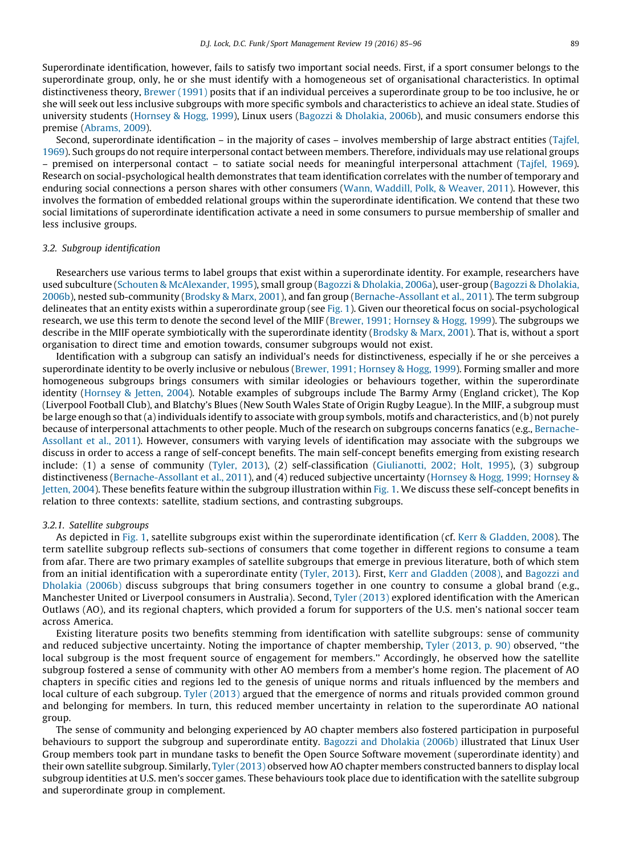<span id="page-4-0"></span>Superordinate identification, however, fails to satisfy two important social needs. First, if a sport consumer belongs to the superordinate group, only, he or she must identify with a homogeneous set of organisational characteristics. In optimal distinctiveness theory, [Brewer](#page-10-0) (1991) posits that if an individual perceives a superordinate group to be too inclusive, he or she will seek out less inclusive subgroups with more specific symbols and characteristics to achieve an ideal state. Studies of university students ([Hornsey](#page-11-0) & Hogg, 1999), Linux users (Bagozzi & [Dholakia,](#page-10-0) 2006b), and music consumers endorse this premise [\(Abrams,](#page-10-0) 2009).

Second, superordinate identification – in the majority of cases – involves membership of large abstract entities [\(Tajfel,](#page-11-0) [1969](#page-11-0)). Such groups do not require interpersonal contact between members. Therefore, individuals may use relational groups – premised on interpersonal contact – to satiate social needs for meaningful interpersonal attachment [\(Tajfel,](#page-11-0) 1969). Research on social-psychological health demonstrates that team identification correlates with the number of temporary and enduring social connections a person shares with other consumers (Wann, [Waddill,](#page-11-0) Polk, & Weaver, 2011). However, this involves the formation of embedded relational groups within the superordinate identification. We contend that these two social limitations of superordinate identification activate a need in some consumers to pursue membership of smaller and less inclusive groups.

#### 3.2. Subgroup identification

Researchers use various terms to label groups that exist within a superordinate identity. For example, researchers have used subculture (Schouten & [McAlexander,](#page-11-0) 1995), small group (Bagozzi & [Dholakia,](#page-10-0) 2006a), user-group (Bagozzi & [Dholakia,](#page-10-0) [2006b\)](#page-10-0), nested sub-community ([Brodsky](#page-10-0) & Marx, 2001), and fan group ([Bernache-Assollant](#page-10-0) et al., 2011). The term subgroup delineates that an entity exists within a superordinate group (see [Fig.](#page-2-0) 1). Given our theoretical focus on social-psychological research, we use this term to denote the second level of the MIIF (Brewer, 1991; [Hornsey](#page-10-0) & Hogg, 1999). The subgroups we describe in the MIIF operate symbiotically with the superordinate identity ([Brodsky](#page-10-0) & Marx, 2001). That is, without a sport organisation to direct time and emotion towards, consumer subgroups would not exist.

Identification with a subgroup can satisfy an individual's needs for distinctiveness, especially if he or she perceives a superordinate identity to be overly inclusive or nebulous (Brewer, 1991; [Hornsey](#page-10-0) & Hogg, 1999). Forming smaller and more homogeneous subgroups brings consumers with similar ideologies or behaviours together, within the superordinate identity [\(Hornsey](#page-11-0) & Jetten, 2004). Notable examples of subgroups include The Barmy Army (England cricket), The Kop (Liverpool Football Club), and Blatchy's Blues (New South Wales State of Origin Rugby League). In the MIIF, a subgroup must be large enough so that(a) individuals identify to associate with group symbols, motifs and characteristics, and (b) not purely because of interpersonal attachments to other people. Much of the research on subgroups concerns fanatics (e.g., [Bernache-](#page-10-0)[Assollant](#page-10-0) et al., 2011). However, consumers with varying levels of identification may associate with the subgroups we discuss in order to access a range of self-concept benefits. The main self-concept benefits emerging from existing research include: (1) a sense of community ([Tyler,](#page-11-0) 2013), (2) self-classification [\(Giulianotti,](#page-11-0) 2002; Holt, 1995), (3) subgroup distinctiveness ([Bernache-Assollant](#page-10-0) et al., 2011), and (4) reduced subjective uncertainty [\(Hornsey](#page-11-0) & Hogg, 1999; Hornsey & [Jetten,](#page-11-0) 2004). These benefits feature within the subgroup illustration within [Fig.](#page-2-0) 1. We discuss these self-concept benefits in relation to three contexts: satellite, stadium sections, and contrasting subgroups.

#### 3.2.1. Satellite subgroups

As depicted in [Fig.](#page-2-0) 1, satellite subgroups exist within the superordinate identification (cf. Kerr & [Gladden,](#page-11-0) 2008). The term satellite subgroup reflects sub-sections of consumers that come together in different regions to consume a team from afar. There are two primary examples of satellite subgroups that emerge in previous literature, both of which stem from an initial identification with a superordinate entity [\(Tyler,](#page-11-0) 2013). First, Kerr and [Gladden](#page-11-0) (2008), and [Bagozzi](#page-10-0) and [Dholakia](#page-10-0) (2006b) discuss subgroups that bring consumers together in one country to consume a global brand (e.g., Manchester United or Liverpool consumers in Australia). Second, Tyler [\(2013\)](#page-11-0) explored identification with the American Outlaws (AO), and its regional chapters, which provided a forum for supporters of the U.S. men's national soccer team across America.

Existing literature posits two benefits stemming from identification with satellite subgroups: sense of community and reduced subjective uncertainty. Noting the importance of chapter membership, Tyler [\(2013,](#page-11-0) p. 90) observed, ''the local subgroup is the most frequent source of engagement for members.'' Accordingly, he observed how the satellite subgroup fostered a sense of community with other AO members from a member's home region. The placement of AO chapters in specific cities and regions led to the genesis of unique norms and rituals influenced by the members and local culture of each subgroup. Tyler [\(2013\)](#page-11-0) argued that the emergence of norms and rituals provided common ground and belonging for members. In turn, this reduced member uncertainty in relation to the superordinate AO national group.

The sense of community and belonging experienced by AO chapter members also fostered participation in purposeful behaviours to support the subgroup and superordinate entity. Bagozzi and [Dholakia](#page-10-0) (2006b) illustrated that Linux User Group members took part in mundane tasks to benefit the Open Source Software movement (superordinate identity) and their own satellite subgroup. Similarly, Tyler [\(2013\)](#page-11-0) observed how AO chapter members constructed banners to display local subgroup identities at U.S. men's soccer games. These behaviours took place due to identification with the satellite subgroup and superordinate group in complement.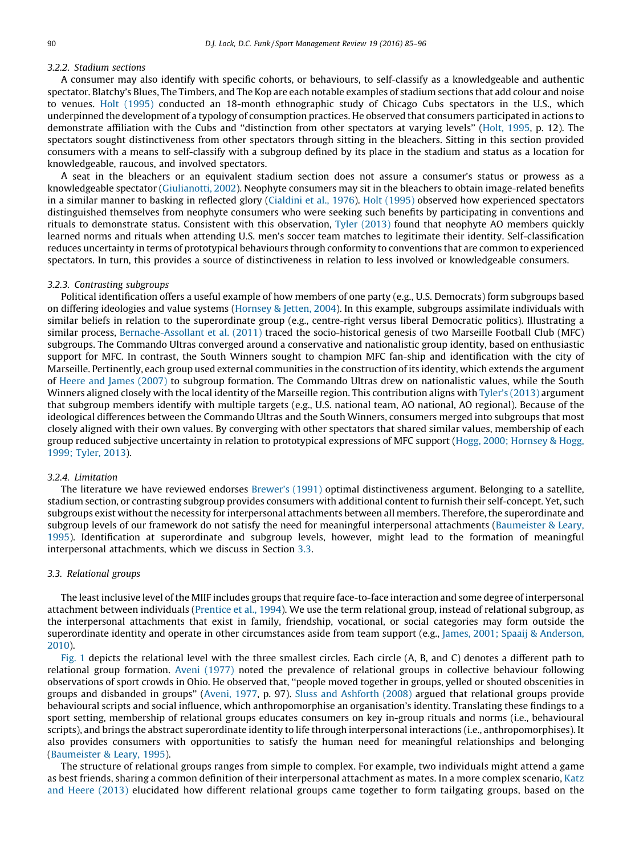#### 3.2.2. Stadium sections

A consumer may also identify with specific cohorts, or behaviours, to self-classify as a knowledgeable and authentic spectator. Blatchy's Blues, The Timbers, and The Kop are each notable examples of stadium sections that add colour and noise to venues. Holt [\(1995\)](#page-11-0) conducted an 18-month ethnographic study of Chicago Cubs spectators in the U.S., which underpinned the development of a typology of consumption practices. He observed that consumers participated in actions to demonstrate affiliation with the Cubs and ''distinction from other spectators at varying levels'' (Holt, [1995](#page-11-0), p. 12). The spectators sought distinctiveness from other spectators through sitting in the bleachers. Sitting in this section provided consumers with a means to self-classify with a subgroup defined by its place in the stadium and status as a location for knowledgeable, raucous, and involved spectators.

A seat in the bleachers or an equivalent stadium section does not assure a consumer's status or prowess as a knowledgeable spectator [\(Giulianotti,](#page-11-0) 2002). Neophyte consumers may sit in the bleachers to obtain image-related benefits in a similar manner to basking in reflected glory [\(Cialdini](#page-10-0) et al., 1976). Holt [\(1995\)](#page-11-0) observed how experienced spectators distinguished themselves from neophyte consumers who were seeking such benefits by participating in conventions and rituals to demonstrate status. Consistent with this observation, Tyler [\(2013\)](#page-11-0) found that neophyte AO members quickly learned norms and rituals when attending U.S. men's soccer team matches to legitimate their identity. Self-classification reduces uncertainty in terms of prototypical behaviours through conformity to conventions that are common to experienced spectators. In turn, this provides a source of distinctiveness in relation to less involved or knowledgeable consumers.

#### 3.2.3. Contrasting subgroups

Political identification offers a useful example of how members of one party (e.g., U.S. Democrats) form subgroups based on differing ideologies and value systems [\(Hornsey](#page-11-0) & Jetten, 2004). In this example, subgroups assimilate individuals with similar beliefs in relation to the superordinate group (e.g., centre-right versus liberal Democratic politics). Illustrating a similar process, [Bernache-Assollant](#page-10-0) et al. (2011) traced the socio-historical genesis of two Marseille Football Club (MFC) subgroups. The Commando Ultras converged around a conservative and nationalistic group identity, based on enthusiastic support for MFC. In contrast, the South Winners sought to champion MFC fan-ship and identification with the city of Marseille. Pertinently, each group used external communities in the construction of its identity, which extends the argument of Heere and James [\(2007\)](#page-11-0) to subgroup formation. The Commando Ultras drew on nationalistic values, while the South Winners aligned closely with the local identity of the Marseille region. This contribution aligns with [Tyler's](#page-11-0) (2013) argument that subgroup members identify with multiple targets (e.g., U.S. national team, AO national, AO regional). Because of the ideological differences between the Commando Ultras and the South Winners, consumers merged into subgroups that most closely aligned with their own values. By converging with other spectators that shared similar values, membership of each group reduced subjective uncertainty in relation to prototypical expressions of MFC support (Hogg, 2000; [Hornsey](#page-11-0) & Hogg, [1999;](#page-11-0) Tyler, 2013).

#### 3.2.4. Limitation

The literature we have reviewed endorses [Brewer's](#page-10-0) (1991) optimal distinctiveness argument. Belonging to a satellite, stadium section, or contrasting subgroup provides consumers with additional content to furnish their self-concept. Yet, such subgroups exist without the necessity for interpersonal attachments between all members. Therefore, the superordinate and subgroup levels of our framework do not satisfy the need for meaningful interpersonal attachments ([Baumeister](#page-10-0) & Leary, [1995](#page-10-0)). Identification at superordinate and subgroup levels, however, might lead to the formation of meaningful interpersonal attachments, which we discuss in Section 3.3.

#### 3.3. Relational groups

The least inclusive level ofthe MIIF includes groups that require face-to-face interaction and some degree of interpersonal attachment between individuals ([Prentice](#page-11-0) et al., 1994). We use the term relational group, instead of relational subgroup, as the interpersonal attachments that exist in family, friendship, vocational, or social categories may form outside the superordinate identity and operate in other circumstances aside from team support (e.g., James, 2001; Spaaij & [Anderson,](#page-11-0) [2010](#page-11-0)).

[Fig.](#page-2-0) 1 depicts the relational level with the three smallest circles. Each circle (A, B, and C) denotes a different path to relational group formation. Aveni [\(1977\)](#page-10-0) noted the prevalence of relational groups in collective behaviour following observations of sport crowds in Ohio. He observed that, ''people moved together in groups, yelled or shouted obscenities in groups and disbanded in groups'' [\(Aveni,](#page-10-0) 1977, p. 97). Sluss and [Ashforth](#page-11-0) (2008) argued that relational groups provide behavioural scripts and social influence, which anthropomorphise an organisation's identity. Translating these findings to a sport setting, membership of relational groups educates consumers on key in-group rituals and norms (i.e., behavioural scripts), and brings the abstract superordinate identity to life through interpersonal interactions (i.e., anthropomorphises). It also provides consumers with opportunities to satisfy the human need for meaningful relationships and belonging [\(Baumeister](#page-10-0) & Leary, 1995).

The structure of relational groups ranges from simple to complex. For example, two individuals might attend a game as best friends, sharing a common definition of their interpersonal attachment as mates. In a more complex scenario, [Katz](#page-11-0) and Heere [\(2013\)](#page-11-0) elucidated how different relational groups came together to form tailgating groups, based on the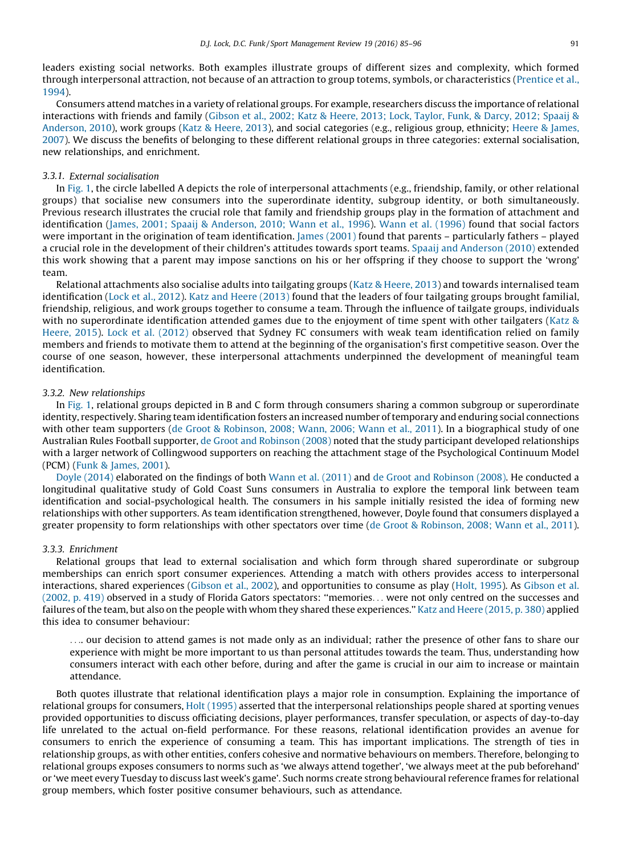leaders existing social networks. Both examples illustrate groups of different sizes and complexity, which formed through interpersonal attraction, not because of an attraction to group totems, symbols, or characteristics ([Prentice](#page-11-0) et al., [1994\)](#page-11-0).

Consumers attend matches in a variety of relational groups. For example, researchers discuss the importance of relational interactions with friends and family [\(Gibson](#page-11-0) et al., 2002; Katz & Heere, 2013; Lock, Taylor, Funk, & Darcy, 2012; Spaaij & [Anderson,](#page-11-0) 2010), work groups (Katz & [Heere,](#page-11-0) 2013), and social categories (e.g., religious group, ethnicity; Heere & [James,](#page-11-0) [2007](#page-11-0)). We discuss the benefits of belonging to these different relational groups in three categories: external socialisation, new relationships, and enrichment.

#### 3.3.1. External socialisation

In [Fig.](#page-2-0) 1, the circle labelled A depicts the role of interpersonal attachments (e.g., friendship, family, or other relational groups) that socialise new consumers into the superordinate identity, subgroup identity, or both simultaneously. Previous research illustrates the crucial role that family and friendship groups play in the formation of attachment and identification (James, 2001; Spaaij & [Anderson,](#page-11-0) 2010; Wann et al., 1996). Wann et al. [\(1996\)](#page-11-0) found that social factors were important in the origination of team identification. James [\(2001\)](#page-11-0) found that parents – particularly fathers – played a crucial role in the development of their children's attitudes towards sport teams. Spaaij and [Anderson](#page-11-0) (2010) extended this work showing that a parent may impose sanctions on his or her offspring if they choose to support the 'wrong' team.

Relational attachments also socialise adults into tailgating groups (Katz & [Heere,](#page-11-0) 2013) and towards internalised team identification (Lock et al., [2012\)](#page-11-0). Katz and Heere [\(2013\)](#page-11-0) found that the leaders of four tailgating groups brought familial, friendship, religious, and work groups together to consume a team. Through the influence of tailgate groups, individuals with no superordinate identification attended games due to the enjoyment of time spent with other tailgaters [\(Katz](#page-11-0) & [Heere,](#page-11-0) 2015). Lock et al. [\(2012\)](#page-11-0) observed that Sydney FC consumers with weak team identification relied on family members and friends to motivate them to attend at the beginning of the organisation's first competitive season. Over the course of one season, however, these interpersonal attachments underpinned the development of meaningful team identification.

#### 3.3.2. New relationships

In [Fig.](#page-2-0) 1, relational groups depicted in B and C form through consumers sharing a common subgroup or superordinate identity, respectively. Sharing team identification fosters an increased number oftemporary and enduring social connections with other team supporters (de Groot & [Robinson,](#page-10-0) 2008; Wann, 2006; Wann et al., 2011). In a biographical study of one Australian Rules Football supporter, de Groot and [Robinson](#page-10-0) (2008) noted that the study participant developed relationships with a larger network of Collingwood supporters on reaching the attachment stage of the Psychological Continuum Model (PCM) (Funk & [James,](#page-11-0) 2001).

Doyle [\(2014\)](#page-10-0) elaborated on the findings of both Wann et al. [\(2011\)](#page-11-0) and de Groot and [Robinson](#page-10-0) (2008). He conducted a longitudinal qualitative study of Gold Coast Suns consumers in Australia to explore the temporal link between team identification and social-psychological health. The consumers in his sample initially resisted the idea of forming new relationships with other supporters. As team identification strengthened, however, Doyle found that consumers displayed a greater propensity to form relationships with other spectators over time (de Groot & [Robinson,](#page-10-0) 2008; Wann et al., 2011).

#### 3.3.3. Enrichment

Relational groups that lead to external socialisation and which form through shared superordinate or subgroup memberships can enrich sport consumer experiences. Attending a match with others provides access to interpersonal interactions, shared experiences ([Gibson](#page-11-0) et al., 2002), and opportunities to consume as play (Holt, [1995\)](#page-11-0). As [Gibson](#page-11-0) et al. [\(2002,](#page-11-0) p. 419) observed in a study of Florida Gators spectators: ''memories. . . were not only centred on the successes and failures of the team, but also on the people with whom they shared these experiences.'' Katz and Heere [\(2015,](#page-11-0) p. 380) applied this idea to consumer behaviour:

.... our decision to attend games is not made only as an individual; rather the presence of other fans to share our experience with might be more important to us than personal attitudes towards the team. Thus, understanding how consumers interact with each other before, during and after the game is crucial in our aim to increase or maintain attendance.

Both quotes illustrate that relational identification plays a major role in consumption. Explaining the importance of relational groups for consumers, Holt [\(1995\)](#page-11-0) asserted that the interpersonal relationships people shared at sporting venues provided opportunities to discuss officiating decisions, player performances, transfer speculation, or aspects of day-to-day life unrelated to the actual on-field performance. For these reasons, relational identification provides an avenue for consumers to enrich the experience of consuming a team. This has important implications. The strength of ties in relationship groups, as with other entities, confers cohesive and normative behaviours on members. Therefore, belonging to relational groups exposes consumers to norms such as 'we always attend together', 'we always meet at the pub beforehand' or 'we meet every Tuesday to discuss last week's game'. Such norms create strong behavioural reference frames for relational group members, which foster positive consumer behaviours, such as attendance.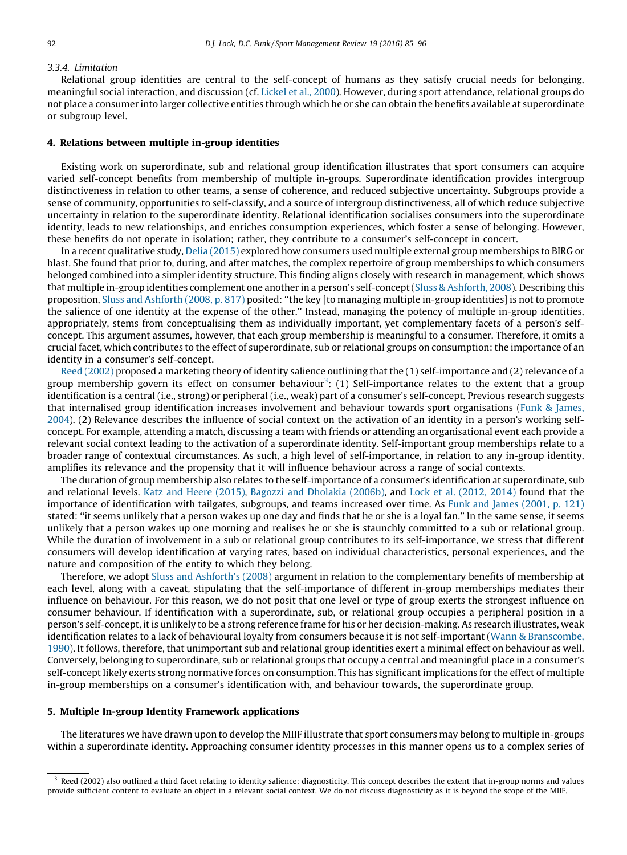#### 3.3.4. Limitation

Relational group identities are central to the self-concept of humans as they satisfy crucial needs for belonging, meaningful social interaction, and discussion (cf. [Lickel](#page-11-0) et al., 2000). However, during sport attendance, relational groups do not place a consumer into larger collective entities through which he or she can obtain the benefits available at superordinate or subgroup level.

#### 4. Relations between multiple in-group identities

Existing work on superordinate, sub and relational group identification illustrates that sport consumers can acquire varied self-concept benefits from membership of multiple in-groups. Superordinate identification provides intergroup distinctiveness in relation to other teams, a sense of coherence, and reduced subjective uncertainty. Subgroups provide a sense of community, opportunities to self-classify, and a source of intergroup distinctiveness, all of which reduce subjective uncertainty in relation to the superordinate identity. Relational identification socialises consumers into the superordinate identity, leads to new relationships, and enriches consumption experiences, which foster a sense of belonging. However, these benefits do not operate in isolation; rather, they contribute to a consumer's self-concept in concert.

In a recent qualitative study, Delia [\(2015\)](#page-10-0) explored how consumers used multiple external group memberships to BIRG or blast. She found that prior to, during, and after matches, the complex repertoire of group memberships to which consumers belonged combined into a simpler identity structure. This finding aligns closely with research in management, which shows that multiple in-group identities complement one another in a person's self-concept(Sluss & [Ashforth,](#page-11-0) 2008). Describing this proposition, Sluss and [Ashforth](#page-11-0) (2008, p. 817) posited: ''the key [to managing multiple in-group identities] is not to promote the salience of one identity at the expense of the other.'' Instead, managing the potency of multiple in-group identities, appropriately, stems from conceptualising them as individually important, yet complementary facets of a person's selfconcept. This argument assumes, however, that each group membership is meaningful to a consumer. Therefore, it omits a crucial facet, which contributes to the effect of superordinate, sub or relational groups on consumption:the importance of an identity in a consumer's self-concept.

Reed [\(2002\)](#page-11-0) proposed a marketing theory of identity salience outlining that the (1) self-importance and (2) relevance of a group membership govern its effect on consumer behaviour<sup>3</sup>: (1) Self-importance relates to the extent that a group identification is a central (i.e., strong) or peripheral (i.e., weak) part of a consumer's self-concept. Previous research suggests that internalised group identification increases involvement and behaviour towards sport organisations (Funk & [James,](#page-11-0) [2004](#page-11-0)). (2) Relevance describes the influence of social context on the activation of an identity in a person's working selfconcept. For example, attending a match, discussing a team with friends or attending an organisational event each provide a relevant social context leading to the activation of a superordinate identity. Self-important group memberships relate to a broader range of contextual circumstances. As such, a high level of self-importance, in relation to any in-group identity, amplifies its relevance and the propensity that it will influence behaviour across a range of social contexts.

The duration of group membership also relates to the self-importance of a consumer's identification at superordinate, sub and relational levels. Katz and Heere [\(2015\),](#page-11-0) Bagozzi and [Dholakia](#page-10-0) (2006b), and Lock et al. [\(2012,](#page-11-0) 2014) found that the importance of identification with tailgates, subgroups, and teams increased over time. As Funk and James [\(2001,](#page-11-0) p. 121) stated: ''it seems unlikely that a person wakes up one day and finds that he or she is a loyal fan.'' In the same sense, it seems unlikely that a person wakes up one morning and realises he or she is staunchly committed to a sub or relational group. While the duration of involvement in a sub or relational group contributes to its self-importance, we stress that different consumers will develop identification at varying rates, based on individual characteristics, personal experiences, and the nature and composition of the entity to which they belong.

Therefore, we adopt Sluss and [Ashforth's](#page-11-0) (2008) argument in relation to the complementary benefits of membership at each level, along with a caveat, stipulating that the self-importance of different in-group memberships mediates their influence on behaviour. For this reason, we do not posit that one level or type of group exerts the strongest influence on consumer behaviour. If identification with a superordinate, sub, or relational group occupies a peripheral position in a person's self-concept, itis unlikely to be a strong reference frame for his or her decision-making. As research illustrates, weak identification relates to a lack of behavioural loyalty from consumers because it is not self-important (Wann & [Branscombe,](#page-11-0) [1990](#page-11-0)). It follows, therefore, that unimportant sub and relational group identities exert a minimal effect on behaviour as well. Conversely, belonging to superordinate, sub or relational groups that occupy a central and meaningful place in a consumer's self-concept likely exerts strong normative forces on consumption. This has significant implications for the effect of multiple in-group memberships on a consumer's identification with, and behaviour towards, the superordinate group.

#### 5. Multiple In-group Identity Framework applications

The literatures we have drawn upon to develop the MIIF illustrate that sport consumers may belong to multiple in-groups within a superordinate identity. Approaching consumer identity processes in this manner opens us to a complex series of

Reed (2002) also outlined a third facet relating to identity salience: diagnosticity. This concept describes the extent that in-group norms and values provide sufficient content to evaluate an object in a relevant social context. We do not discuss diagnosticity as it is beyond the scope of the MIIF.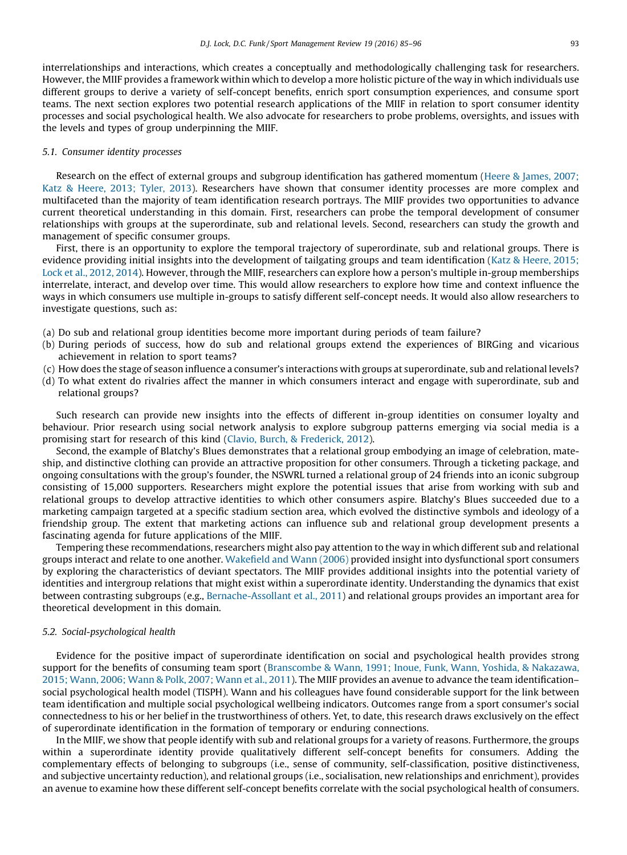interrelationships and interactions, which creates a conceptually and methodologically challenging task for researchers. However, the MIIF provides a framework within which to develop a more holistic picture of the way in which individuals use different groups to derive a variety of self-concept benefits, enrich sport consumption experiences, and consume sport teams. The next section explores two potential research applications of the MIIF in relation to sport consumer identity processes and social psychological health. We also advocate for researchers to probe problems, oversights, and issues with the levels and types of group underpinning the MIIF.

#### 5.1. Consumer identity processes

Research on the effect of external groups and subgroup identification has gathered momentum (Heere & [James,](#page-11-0) 2007; Katz & [Heere,](#page-11-0) 2013; Tyler, 2013). Researchers have shown that consumer identity processes are more complex and multifaceted than the majority of team identification research portrays. The MIIF provides two opportunities to advance current theoretical understanding in this domain. First, researchers can probe the temporal development of consumer relationships with groups at the superordinate, sub and relational levels. Second, researchers can study the growth and management of specific consumer groups.

First, there is an opportunity to explore the temporal trajectory of superordinate, sub and relational groups. There is evidence providing initial insights into the development of tailgating groups and team identification (Katz & [Heere,](#page-11-0) 2015; Lock et al., [2012,](#page-11-0) 2014). However, through the MIIF, researchers can explore how a person's multiple in-group memberships interrelate, interact, and develop over time. This would allow researchers to explore how time and context influence the ways in which consumers use multiple in-groups to satisfy different self-concept needs. It would also allow researchers to investigate questions, such as:

- (a) Do sub and relational group identities become more important during periods of team failure?
- (b) During periods of success, how do sub and relational groups extend the experiences of BIRGing and vicarious achievement in relation to sport teams?
- (c) How does the stage of season influence a consumer's interactions with groups at superordinate, sub and relational levels?
- (d) To what extent do rivalries affect the manner in which consumers interact and engage with superordinate, sub and relational groups?

Such research can provide new insights into the effects of different in-group identities on consumer loyalty and behaviour. Prior research using social network analysis to explore subgroup patterns emerging via social media is a promising start for research of this kind (Clavio, Burch, & [Frederick,](#page-10-0) 2012).

Second, the example of Blatchy's Blues demonstrates that a relational group embodying an image of celebration, mateship, and distinctive clothing can provide an attractive proposition for other consumers. Through a ticketing package, and ongoing consultations with the group's founder, the NSWRL turned a relational group of 24 friends into an iconic subgroup consisting of 15,000 supporters. Researchers might explore the potential issues that arise from working with sub and relational groups to develop attractive identities to which other consumers aspire. Blatchy's Blues succeeded due to a marketing campaign targeted at a specific stadium section area, which evolved the distinctive symbols and ideology of a friendship group. The extent that marketing actions can influence sub and relational group development presents a fascinating agenda for future applications of the MIIF.

Tempering these recommendations, researchers might also pay attention to the way in which different sub and relational groups interact and relate to one another. [Wakefield](#page-11-0) and Wann (2006) provided insight into dysfunctional sport consumers by exploring the characteristics of deviant spectators. The MIIF provides additional insights into the potential variety of identities and intergroup relations that might exist within a superordinate identity. Understanding the dynamics that exist between contrasting subgroups (e.g., [Bernache-Assollant](#page-10-0) et al., 2011) and relational groups provides an important area for theoretical development in this domain.

#### 5.2. Social-psychological health

Evidence for the positive impact of superordinate identification on social and psychological health provides strong support for the benefits of consuming team sport [\(Branscombe](#page-10-0) & Wann, 1991; Inoue, Funk, Wann, Yoshida, & Nakazawa, 2015; [Wann,](#page-10-0) 2006; Wann & Polk, 2007; Wann et al., 2011). The MIIF provides an avenue to advance the team identification– social psychological health model (TISPH). Wann and his colleagues have found considerable support for the link between team identification and multiple social psychological wellbeing indicators. Outcomes range from a sport consumer's social connectedness to his or her belief in the trustworthiness of others. Yet, to date, this research draws exclusively on the effect of superordinate identification in the formation of temporary or enduring connections.

In the MIIF, we show that people identify with sub and relational groups for a variety of reasons. Furthermore, the groups within a superordinate identity provide qualitatively different self-concept benefits for consumers. Adding the complementary effects of belonging to subgroups (i.e., sense of community, self-classification, positive distinctiveness, and subjective uncertainty reduction), and relational groups (i.e., socialisation, new relationships and enrichment), provides an avenue to examine how these different self-concept benefits correlate with the social psychological health of consumers.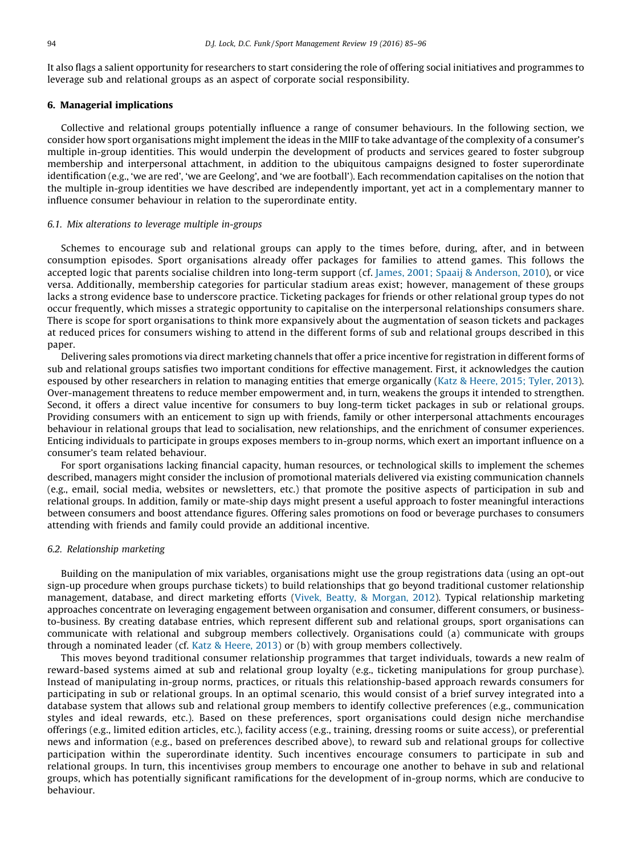It also flags a salient opportunity for researchers to start considering the role of offering social initiatives and programmes to leverage sub and relational groups as an aspect of corporate social responsibility.

#### 6. Managerial implications

Collective and relational groups potentially influence a range of consumer behaviours. In the following section, we consider how sport organisations might implement the ideas in the MIIF to take advantage of the complexity of a consumer's multiple in-group identities. This would underpin the development of products and services geared to foster subgroup membership and interpersonal attachment, in addition to the ubiquitous campaigns designed to foster superordinate identification (e.g., 'we are red', 'we are Geelong', and 'we are football'). Each recommendation capitalises on the notion that the multiple in-group identities we have described are independently important, yet act in a complementary manner to influence consumer behaviour in relation to the superordinate entity.

#### 6.1. Mix alterations to leverage multiple in-groups

Schemes to encourage sub and relational groups can apply to the times before, during, after, and in between consumption episodes. Sport organisations already offer packages for families to attend games. This follows the accepted logic that parents socialise children into long-term support (cf. James, 2001; Spaaij & [Anderson,](#page-11-0) 2010), or vice versa. Additionally, membership categories for particular stadium areas exist; however, management of these groups lacks a strong evidence base to underscore practice. Ticketing packages for friends or other relational group types do not occur frequently, which misses a strategic opportunity to capitalise on the interpersonal relationships consumers share. There is scope for sport organisations to think more expansively about the augmentation of season tickets and packages at reduced prices for consumers wishing to attend in the different forms of sub and relational groups described in this paper.

Delivering sales promotions via direct marketing channels that offer a price incentive for registration in different forms of sub and relational groups satisfies two important conditions for effective management. First, it acknowledges the caution espoused by other researchers in relation to managing entities that emerge organically (Katz & [Heere,](#page-11-0) 2015; Tyler, 2013). Over-management threatens to reduce member empowerment and, in turn, weakens the groups it intended to strengthen. Second, it offers a direct value incentive for consumers to buy long-term ticket packages in sub or relational groups. Providing consumers with an enticement to sign up with friends, family or other interpersonal attachments encourages behaviour in relational groups that lead to socialisation, new relationships, and the enrichment of consumer experiences. Enticing individuals to participate in groups exposes members to in-group norms, which exert an important influence on a consumer's team related behaviour.

For sport organisations lacking financial capacity, human resources, or technological skills to implement the schemes described, managers might consider the inclusion of promotional materials delivered via existing communication channels (e.g., email, social media, websites or newsletters, etc.) that promote the positive aspects of participation in sub and relational groups. In addition, family or mate-ship days might present a useful approach to foster meaningful interactions between consumers and boost attendance figures. Offering sales promotions on food or beverage purchases to consumers attending with friends and family could provide an additional incentive.

#### 6.2. Relationship marketing

Building on the manipulation of mix variables, organisations might use the group registrations data (using an opt-out sign-up procedure when groups purchase tickets) to build relationships that go beyond traditional customer relationship management, database, and direct marketing efforts (Vivek, Beatty, & [Morgan,](#page-11-0) 2012). Typical relationship marketing approaches concentrate on leveraging engagement between organisation and consumer, different consumers, or businessto-business. By creating database entries, which represent different sub and relational groups, sport organisations can communicate with relational and subgroup members collectively. Organisations could (a) communicate with groups through a nominated leader (cf. Katz & [Heere,](#page-11-0) 2013) or (b) with group members collectively.

This moves beyond traditional consumer relationship programmes that target individuals, towards a new realm of reward-based systems aimed at sub and relational group loyalty (e.g., ticketing manipulations for group purchase). Instead of manipulating in-group norms, practices, or rituals this relationship-based approach rewards consumers for participating in sub or relational groups. In an optimal scenario, this would consist of a brief survey integrated into a database system that allows sub and relational group members to identify collective preferences (e.g., communication styles and ideal rewards, etc.). Based on these preferences, sport organisations could design niche merchandise offerings (e.g., limited edition articles, etc.), facility access (e.g., training, dressing rooms or suite access), or preferential news and information (e.g., based on preferences described above), to reward sub and relational groups for collective participation within the superordinate identity. Such incentives encourage consumers to participate in sub and relational groups. In turn, this incentivises group members to encourage one another to behave in sub and relational groups, which has potentially significant ramifications for the development of in-group norms, which are conducive to behaviour.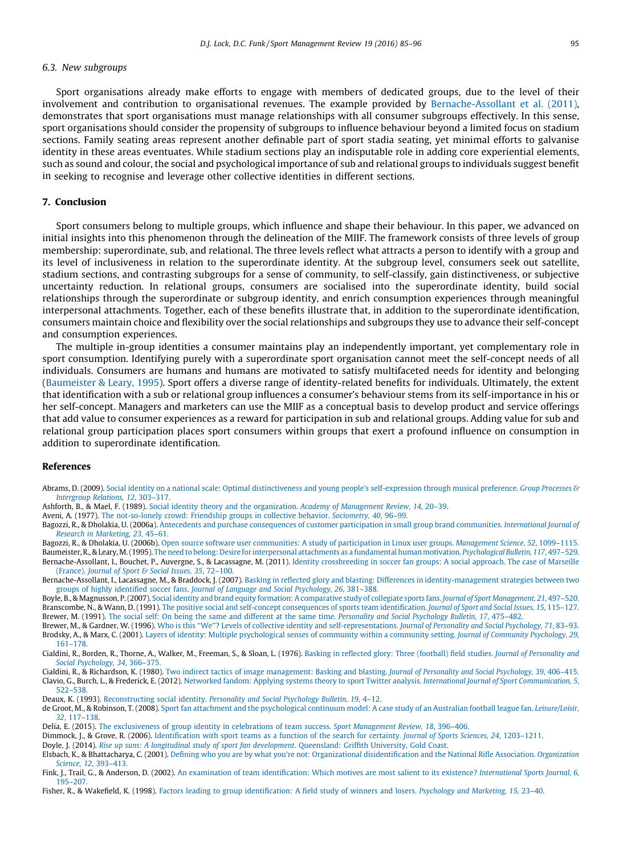#### <span id="page-10-0"></span>6.3. New subgroups

Sport organisations already make efforts to engage with members of dedicated groups, due to the level of their involvement and contribution to organisational revenues. The example provided by Bernache-Assollant et al. (2011), demonstrates that sport organisations must manage relationships with all consumer subgroups effectively. In this sense, sport organisations should consider the propensity of subgroups to influence behaviour beyond a limited focus on stadium sections. Family seating areas represent another definable part of sport stadia seating, yet minimal efforts to galvanise identity in these areas eventuates. While stadium sections play an indisputable role in adding core experiential elements, such as sound and colour, the social and psychological importance of sub and relational groups to individuals suggest benefit in seeking to recognise and leverage other collective identities in different sections.

#### 7. Conclusion

Sport consumers belong to multiple groups, which influence and shape their behaviour. In this paper, we advanced on initial insights into this phenomenon through the delineation of the MIIF. The framework consists of three levels of group membership: superordinate, sub, and relational. The three levels reflect what attracts a person to identify with a group and its level of inclusiveness in relation to the superordinate identity. At the subgroup level, consumers seek out satellite, stadium sections, and contrasting subgroups for a sense of community, to self-classify, gain distinctiveness, or subjective uncertainty reduction. In relational groups, consumers are socialised into the superordinate identity, build social relationships through the superordinate or subgroup identity, and enrich consumption experiences through meaningful interpersonal attachments. Together, each of these benefits illustrate that, in addition to the superordinate identification, consumers maintain choice and flexibility over the social relationships and subgroups they use to advance their self-concept and consumption experiences.

The multiple in-group identities a consumer maintains play an independently important, yet complementary role in sport consumption. Identifying purely with a superordinate sport organisation cannot meet the self-concept needs of all individuals. Consumers are humans and humans are motivated to satisfy multifaceted needs for identity and belonging (Baumeister & Leary, 1995). Sport offers a diverse range of identity-related benefits for individuals. Ultimately, the extent that identification with a sub or relational group influences a consumer's behaviour stems from its self-importance in his or her self-concept. Managers and marketers can use the MIIF as a conceptual basis to develop product and service offerings that add value to consumer experiences as a reward for participation in sub and relational groups. Adding value for sub and relational group participation places sport consumers within groups that exert a profound influence on consumption in addition to superordinate identification.

#### References

Abrams, D. (2009). Social identity on a national scale: Optimal distinctiveness and young people's [self-expression](http://refhub.elsevier.com/S1441-3523(15)00080-7/sbref0005) through musical preference. Group Processes & [Intergroup](http://refhub.elsevier.com/S1441-3523(15)00080-7/sbref0005) Relations, 12, 303–317.

Ashforth, B., & Mael, F. (1989). Social identity theory and the [organization.](http://refhub.elsevier.com/S1441-3523(15)00080-7/sbref0010) Academy of Management Review, 14, 20–39.

Aveni, A. (1977). The [not-so-lonely](http://refhub.elsevier.com/S1441-3523(15)00080-7/sbref0350) crowd: Friendship groups in collective behavior. Sociometry, 40, 96–99.

Bagozzi, R., & Dholakia, U. (2006a). Antecedents and purchase [consequences](http://refhub.elsevier.com/S1441-3523(15)00080-7/sbref0015) of customer participation in small group brand communities. International Journal of Research in [Marketing,](http://refhub.elsevier.com/S1441-3523(15)00080-7/sbref0015) 23, 45–61.

Bagozzi, R., & Dholakia, U. (2006b). Open source software user [communities:](http://refhub.elsevier.com/S1441-3523(15)00080-7/sbref0020) A study of participation in Linux user groups. Management Science, 52, 1099-1115. Baumeister, R.,&Leary,M.(1995). The need to belong: Desire for [interpersonal](http://refhub.elsevier.com/S1441-3523(15)00080-7/sbref0025) attachments as a fundamental human motivation. Psychological Bulletin, 117, 497–529. Bernache-Assollant, I., Bouchet, P., Auvergne, S., & Lacassagne, M. (2011). Identity [crossbreeding](http://refhub.elsevier.com/S1441-3523(15)00080-7/sbref0030) in soccer fan groups: A social approach. The case of Marseille

[\(France\).](http://refhub.elsevier.com/S1441-3523(15)00080-7/sbref0030) Journal of Sport & Social Issues, 35, 72–100. Bernache-Assollant, I., Lacassagne, M., & Braddock, J. (2007). Basking in reflected glory and blasting: Differences in [identity-management](http://refhub.elsevier.com/S1441-3523(15)00080-7/sbref0035) strategies between two

groups of highly identified soccer fans. Journal of Language and Social [Psychology,](http://refhub.elsevier.com/S1441-3523(15)00080-7/sbref0035) 26, 381–388. Boyle, B.,& Magnusson, P.(2007). Social identity and brand equity formation: A comparative study of collegiate sports fans. Journal of Sport [Management,](http://refhub.elsevier.com/S1441-3523(15)00080-7/sbref0040) 21, 497–520.

Branscombe, N., & Wann, D. (1991). The positive social and self-concept consequences of sports team [identification.](http://refhub.elsevier.com/S1441-3523(15)00080-7/sbref0045) Journal of Sport and Social Issues, 15, 115-127. Brewer, M. (1991). The social self: On being the same and different at the same time. [Personality](http://refhub.elsevier.com/S1441-3523(15)00080-7/sbref0050) and Social Psychology Bulletin, 17, 475–482.

Brewer, M., & Gardner, W. (1996). Who is this "We"? Levels of collective identity and [self-representations.](http://refhub.elsevier.com/S1441-3523(15)00080-7/sbref0055) Journal of Personality and Social Psychology, 71, 83-93. Brodsky, A., & Marx, C. (2001). Layers of identity: Multiple [psychological](http://refhub.elsevier.com/S1441-3523(15)00080-7/sbref0060) senses of community within a community setting. Journal of Community Psychology, 29, [161–178.](http://refhub.elsevier.com/S1441-3523(15)00080-7/sbref0060)

Cialdini, R., Borden, R., Thorne, A., Walker, M., Freeman, S., & Sloan, L. (1976). Basking in reflected glory: Three (football) field studies. Journal of [Personality](http://refhub.elsevier.com/S1441-3523(15)00080-7/sbref0065) and Social [Psychology,](http://refhub.elsevier.com/S1441-3523(15)00080-7/sbref0065) 34, 366–375.

Cialdini, R., & Richardson, K. (1980). Two indirect tactics of image [management:](http://refhub.elsevier.com/S1441-3523(15)00080-7/sbref0070) Basking and blasting. Journal of Personality and Social Psychology, 39, 406–415. Clavio, G., Burch, L., & Frederick, E. (2012). Networked fandom: Applying systems theory to sport Twitter analysis. International Journal of Sport [Communication,](http://refhub.elsevier.com/S1441-3523(15)00080-7/sbref0075) 5, [522–538.](http://refhub.elsevier.com/S1441-3523(15)00080-7/sbref0075)

Deaux, K. (1993). [Reconstructing](http://refhub.elsevier.com/S1441-3523(15)00080-7/sbref0080) social identity. Personality and Social Psychology Bulletin, 19, 4–12.

de Groot, M., & Robinson, T. (2008). Sport fan attachment and the [psychological](http://refhub.elsevier.com/S1441-3523(15)00080-7/sbref0085) continuum model: A case study of an Australian football league fan. Leisure/Loisir, 32, [117–138](http://refhub.elsevier.com/S1441-3523(15)00080-7/sbref0085).

Delia, E. (2015). The [exclusiveness](http://refhub.elsevier.com/S1441-3523(15)00080-7/sbref0090) of group identity in celebrations of team success. Sport Management Review, 18, 396–406.

Dimmock, J., & Grove, R. (2006). [Identification](http://refhub.elsevier.com/S1441-3523(15)00080-7/sbref0095) with sport teams as a function of the search for certainty. Journal of Sports Sciences, 24, 1203–1211.

Doyle, J. (2014). Rise up suns: A longitudinal study of sport fan development. [Queensland:](http://refhub.elsevier.com/S1441-3523(15)00080-7/sbref0100) Griffith University, Gold Coast.

Elsbach, K., & Bhattacharya, C. (2001). Defining who you are by what you're not: Organizational [disidentification](http://refhub.elsevier.com/S1441-3523(15)00080-7/sbref0105) and the National Rifle Association. Organization Science, 12, [393–413](http://refhub.elsevier.com/S1441-3523(15)00080-7/sbref0105).

Fink, J., Trail, G., & Anderson, D. (2002). An examination of team [identification:](http://refhub.elsevier.com/S1441-3523(15)00080-7/sbref0110) Which motives are most salient to its existence? International Sports Journal, 6, [195–207.](http://refhub.elsevier.com/S1441-3523(15)00080-7/sbref0110)

Fisher, R., & Wakefield, K. (1998). Factors leading to group [identification:](http://refhub.elsevier.com/S1441-3523(15)00080-7/sbref0115) A field study of winners and losers. Psychology and Marketing, 15, 23-40.